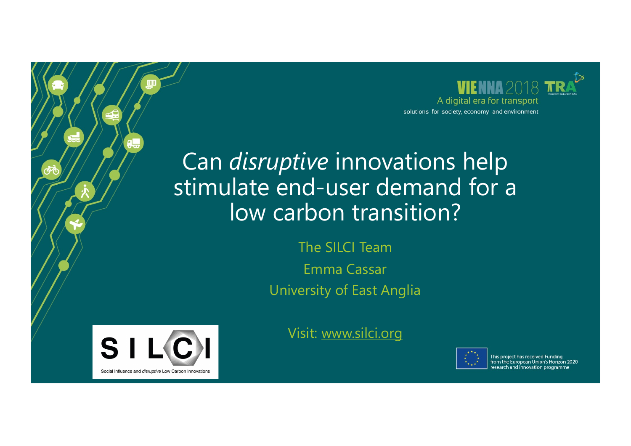

## Can *disruptive* innovations help stimulate end-user demand for a low carbon transition?

The SILCI Team Emma Cassar University of East Anglia



Visit: www.silci.org



This project has received Funding from the European Union's Horizon 2020 research and innovation programme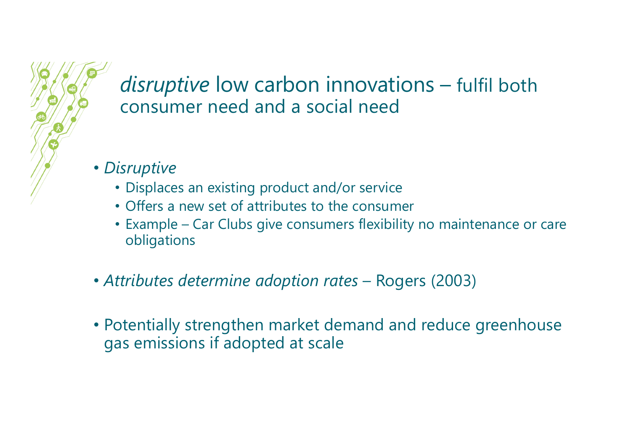#### *disruptive* low carbon innovations – fulfil both consumer need and a social need

- *Disruptive*
	- Displaces an existing product and/or service
	- Offers a new set of attributes to the consumer
	- Example Car Clubs give consumers flexibility no maintenance or care obligations
- *Attributes determine adoption rates*  Rogers (2003)
- Potentially strengthen market demand and reduce greenhouse gas emissions if adopted at scale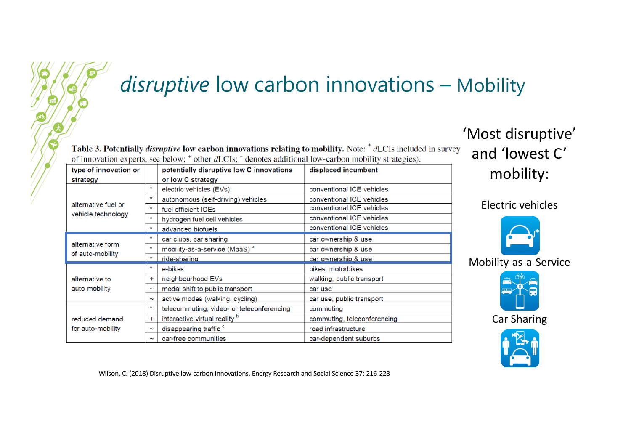# *disruptive* low carbon innovations – Mobility

Table 3. Potentially *disruptive* low carbon innovations relating to mobility. Note: \* dLCIs included in survey of innovation experts, see below;  $\dagger$  other dLCIs;  $\ddagger$  denotes additional low-carbon mobility strategies).

| type of innovation or                     |                       | potentially disruptive low C innovations  | displaced incumbent         |
|-------------------------------------------|-----------------------|-------------------------------------------|-----------------------------|
| strategy                                  |                       | or low C strategy                         |                             |
| alternative fuel or<br>vehicle technology | $\star$               | electric vehicles (EVs)                   | conventional ICE vehicles   |
|                                           | $\ast$                | autonomous (self-driving) vehicles        | conventional ICE vehicles   |
|                                           | $\star$               | fuel efficient ICEs                       | conventional ICE vehicles   |
|                                           | $\star$               | hydrogen fuel cell vehicles               | conventional ICE vehicles   |
|                                           | $\star$               | advanced biofuels                         | conventional ICE vehicles   |
| alternative form<br>of auto-mobility      | ÷                     | car clubs, car sharing                    | car ownership & use         |
|                                           | $\star$               | mobility-as-a-service (MaaS) <sup>a</sup> | car ownership & use         |
|                                           | $\star$               | ride-sharing                              | car ownership & use         |
| alternative to<br>auto-mobility           |                       | e-bikes                                   | bikes, motorbikes           |
|                                           | +                     | neighbourhood EVs                         | walking, public transport   |
|                                           | $\tilde{}$            | modal shift to public transport           | car use                     |
|                                           | $\tilde{\phantom{a}}$ | active modes (walking, cycling)           | car use, public transport   |
| reduced demand<br>for auto-mobility       | $\star$               | telecommuting, video- or teleconferencing | commuting                   |
|                                           | ÷                     | interactive virtual reality b             | commuting, teleconferencing |
|                                           | $\tilde{\phantom{a}}$ | disappearing traffic <sup>c</sup>         | road infrastructure         |
|                                           | $\tilde{\phantom{a}}$ | car-free communities                      | car-dependent suburbs       |

'Most disruptive' and 'lowest C' mobility:

Electric vehicles



Mobility-as-a-Service



Car Sharing



Wilson, C. (2018) Disruptive low-carbon Innovations. Energy Research and Social Science 37: 216-223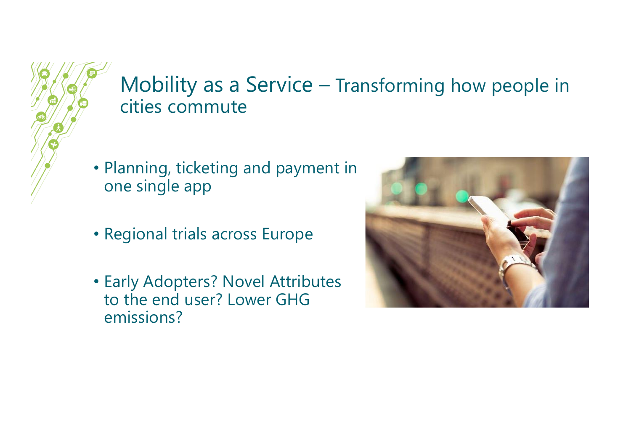### Mobility as a Service – Transforming how people in cities commute

- Planning, ticketing and payment in one single app
- Regional trials across Europe
- Early Adopters? Novel Attributes to the end user? Lower GHG emissions?

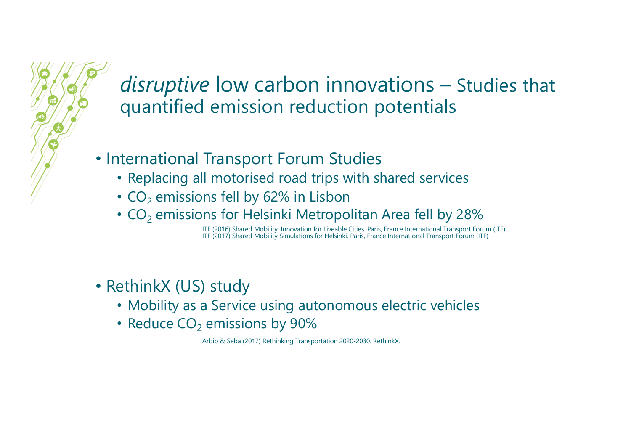*disruptive* low carbon innovations – Studies that quantified emission reduction potentials

- International Transport Forum Studies
	- Replacing all motorised road trips with shared services
	- $CO<sub>2</sub>$  emissions fell by 62% in Lisbon
	- $\cdot$  CO<sub>2</sub> emissions for Helsinki Metropolitan Area fell by 28%

ITF (2016) Shared Mobility: Innovation for Liveable Cities. Paris, France International Transport Forum (ITF) ITF (2017) Shared Mobility Simulations for Helsinki. Paris, France International Transport Forum (ITF)

- RethinkX (US) study
	- Mobility as a Service using autonomous electric vehicles
	- Reduce  $CO<sub>2</sub>$  emissions by 90%

Arbib & Seba (2017) Rethinking Transportation 2020-2030. RethinkX.